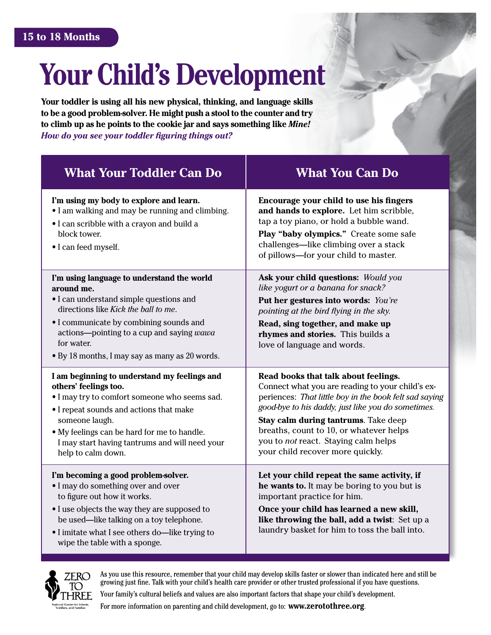# **Your Child's Development**

**Your toddler is using all his new physical, thinking, and language skills to be a good problem-solver. He might push a stool to the counter and try to climb up as he points to the cookie jar and says something like** *Mine! How do you see your toddler figuring things out?*

| <b>What Your Toddler Can Do</b>                                                                                                                                                                                                                                                                            | <b>What You Can Do</b>                                                                                                                                                                                                                                                                                                                                                  |
|------------------------------------------------------------------------------------------------------------------------------------------------------------------------------------------------------------------------------------------------------------------------------------------------------------|-------------------------------------------------------------------------------------------------------------------------------------------------------------------------------------------------------------------------------------------------------------------------------------------------------------------------------------------------------------------------|
| I'm using my body to explore and learn.<br>• I am walking and may be running and climbing.<br>• I can scribble with a crayon and build a<br>block tower.<br>· I can feed myself.                                                                                                                           | Encourage your child to use his fingers<br>and hands to explore. Let him scribble,<br>tap a toy piano, or hold a bubble wand.<br>Play "baby olympics." Create some safe<br>challenges—like climbing over a stack<br>of pillows—for your child to master.                                                                                                                |
| I'm using language to understand the world<br>around me.<br>• I can understand simple questions and<br>directions like Kick the ball to me.<br>• I communicate by combining sounds and<br>actions-pointing to a cup and saying wawa<br>for water.<br>• By 18 months, I may say as many as 20 words.        | Ask your child questions: Would you<br>like yogurt or a banana for snack?<br>Put her gestures into words: You're<br>pointing at the bird flying in the sky.<br>Read, sing together, and make up<br>rhymes and stories. This builds a<br>love of language and words.                                                                                                     |
| I am beginning to understand my feelings and<br>others' feelings too.<br>. I may try to comfort someone who seems sad.<br>• I repeat sounds and actions that make<br>someone laugh.<br>• My feelings can be hard for me to handle.<br>I may start having tantrums and will need your<br>help to calm down. | Read books that talk about feelings.<br>Connect what you are reading to your child's ex-<br>periences: That little boy in the book felt sad saying<br>good-bye to his daddy, just like you do sometimes.<br>Stay calm during tantrums. Take deep<br>breaths, count to 10, or whatever helps<br>you to not react. Staying calm helps<br>your child recover more quickly. |
| I'm becoming a good problem-solver.<br>• I may do something over and over<br>to figure out how it works.<br>• I use objects the way they are supposed to<br>be used—like talking on a toy telephone.<br>• I imitate what I see others do-like trying to<br>wipe the table with a sponge.                   | Let your child repeat the same activity, if<br>he wants to. It may be boring to you but is<br>important practice for him.<br>Once your child has learned a new skill,<br>like throwing the ball, add a twist: Set up a<br>laundry basket for him to toss the ball into.                                                                                                 |



As you use this resource, remember that your child may develop skills faster or slower than indicated here and still be growing just fine. Talk with your child's health care provider or other trusted professional if you have questions.

Your family's cultural beliefs and values are also important factors that shape your child's development.

For more information on parenting and child development, go to: **www.zerotothree.org**.